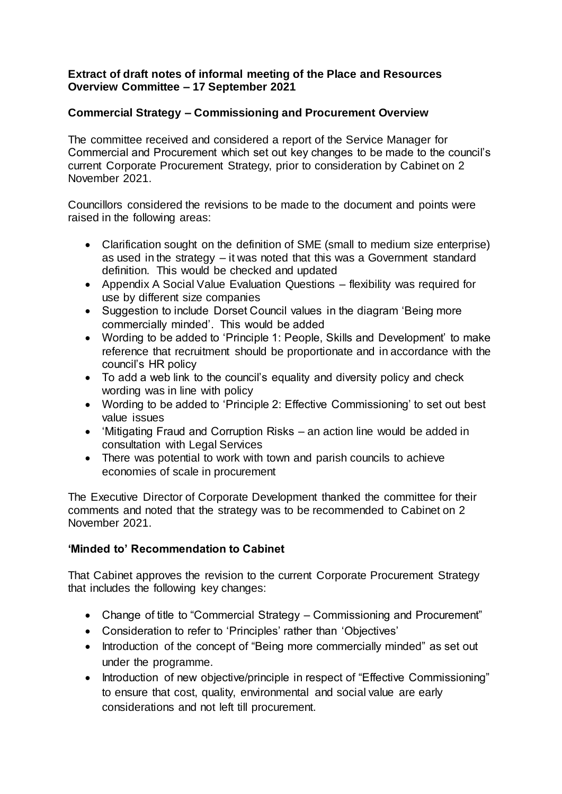## **Extract of draft notes of informal meeting of the Place and Resources Overview Committee – 17 September 2021**

## **Commercial Strategy – Commissioning and Procurement Overview**

The committee received and considered a report of the Service Manager for Commercial and Procurement which set out key changes to be made to the council's current Corporate Procurement Strategy, prior to consideration by Cabinet on 2 November 2021.

Councillors considered the revisions to be made to the document and points were raised in the following areas:

- Clarification sought on the definition of SME (small to medium size enterprise) as used in the strategy – it was noted that this was a Government standard definition. This would be checked and updated
- Appendix A Social Value Evaluation Questions flexibility was required for use by different size companies
- Suggestion to include Dorset Council values in the diagram 'Being more commercially minded'. This would be added
- Wording to be added to 'Principle 1: People, Skills and Development' to make reference that recruitment should be proportionate and in accordance with the council's HR policy
- To add a web link to the council's equality and diversity policy and check wording was in line with policy
- Wording to be added to 'Principle 2: Effective Commissioning' to set out best value issues
- 'Mitigating Fraud and Corruption Risks an action line would be added in consultation with Legal Services
- There was potential to work with town and parish councils to achieve economies of scale in procurement

The Executive Director of Corporate Development thanked the committee for their comments and noted that the strategy was to be recommended to Cabinet on 2 November 2021.

## **'Minded to' Recommendation to Cabinet**

That Cabinet approves the revision to the current Corporate Procurement Strategy that includes the following key changes:

- Change of title to "Commercial Strategy Commissioning and Procurement"
- Consideration to refer to 'Principles' rather than 'Objectives'
- Introduction of the concept of "Being more commercially minded" as set out under the programme.
- Introduction of new objective/principle in respect of "Effective Commissioning" to ensure that cost, quality, environmental and social value are early considerations and not left till procurement.